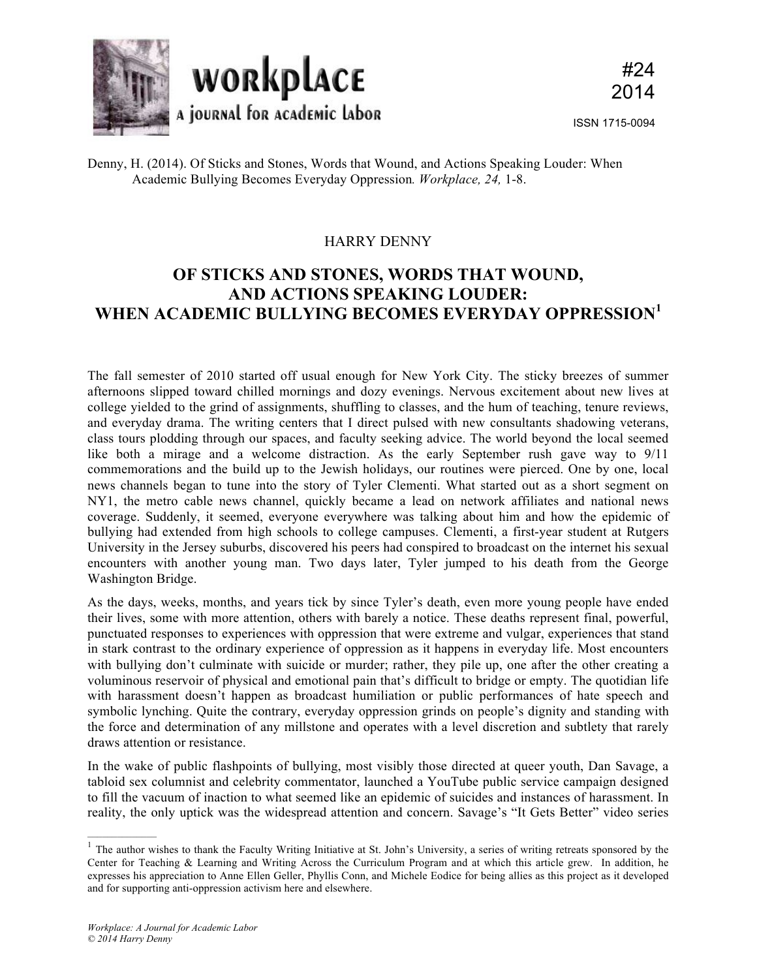

Denny, H. (2014). Of Sticks and Stones, Words that Wound, and Actions Speaking Louder: When Academic Bullying Becomes Everyday Oppression*. Workplace, 24,* 1-8.

## HARRY DENNY

## **OF STICKS AND STONES, WORDS THAT WOUND, AND ACTIONS SPEAKING LOUDER: WHEN ACADEMIC BULLYING BECOMES EVERYDAY OPPRESSION<sup>1</sup>**

The fall semester of 2010 started off usual enough for New York City. The sticky breezes of summer afternoons slipped toward chilled mornings and dozy evenings. Nervous excitement about new lives at college yielded to the grind of assignments, shuffling to classes, and the hum of teaching, tenure reviews, and everyday drama. The writing centers that I direct pulsed with new consultants shadowing veterans, class tours plodding through our spaces, and faculty seeking advice. The world beyond the local seemed like both a mirage and a welcome distraction. As the early September rush gave way to 9/11 commemorations and the build up to the Jewish holidays, our routines were pierced. One by one, local news channels began to tune into the story of Tyler Clementi. What started out as a short segment on NY1, the metro cable news channel, quickly became a lead on network affiliates and national news coverage. Suddenly, it seemed, everyone everywhere was talking about him and how the epidemic of bullying had extended from high schools to college campuses. Clementi, a first-year student at Rutgers University in the Jersey suburbs, discovered his peers had conspired to broadcast on the internet his sexual encounters with another young man. Two days later, Tyler jumped to his death from the George Washington Bridge.

As the days, weeks, months, and years tick by since Tyler's death, even more young people have ended their lives, some with more attention, others with barely a notice. These deaths represent final, powerful, punctuated responses to experiences with oppression that were extreme and vulgar, experiences that stand in stark contrast to the ordinary experience of oppression as it happens in everyday life. Most encounters with bullying don't culminate with suicide or murder; rather, they pile up, one after the other creating a voluminous reservoir of physical and emotional pain that's difficult to bridge or empty. The quotidian life with harassment doesn't happen as broadcast humiliation or public performances of hate speech and symbolic lynching. Quite the contrary, everyday oppression grinds on people's dignity and standing with the force and determination of any millstone and operates with a level discretion and subtlety that rarely draws attention or resistance.

In the wake of public flashpoints of bullying, most visibly those directed at queer youth, Dan Savage, a tabloid sex columnist and celebrity commentator, launched a YouTube public service campaign designed to fill the vacuum of inaction to what seemed like an epidemic of suicides and instances of harassment. In reality, the only uptick was the widespread attention and concern. Savage's "It Gets Better" video series

The author wishes to thank the Faculty Writing Initiative at St. John's University, a series of writing retreats sponsored by the Center for Teaching & Learning and Writing Across the Curriculum Program and at which this article grew. In addition, he expresses his appreciation to Anne Ellen Geller, Phyllis Conn, and Michele Eodice for being allies as this project as it developed and for supporting anti-oppression activism here and elsewhere.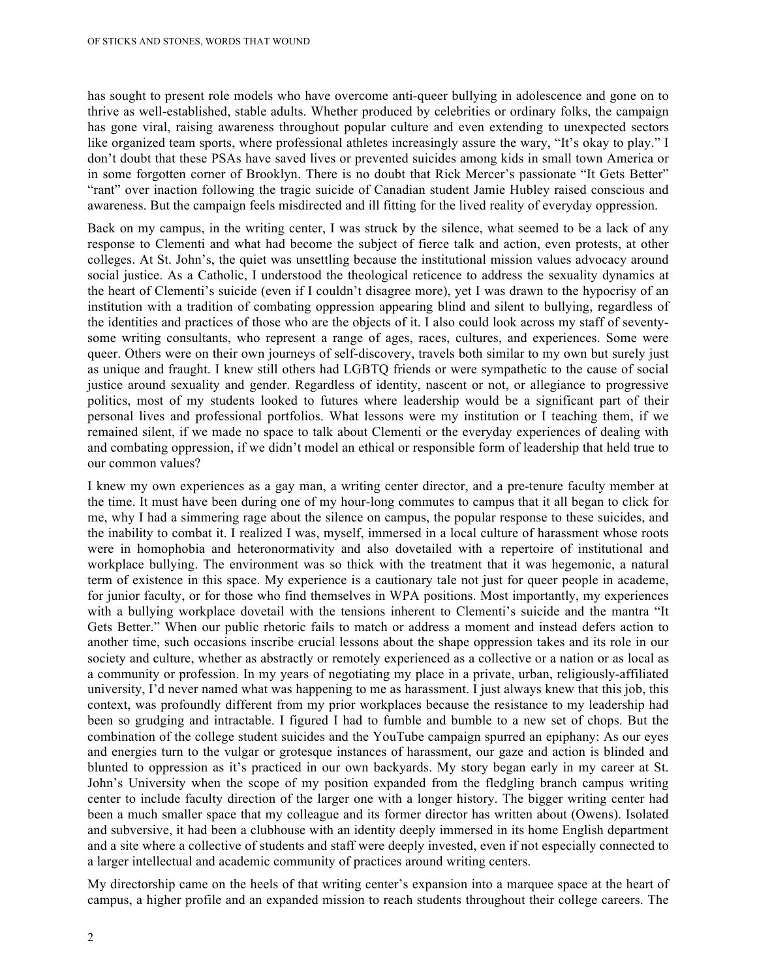has sought to present role models who have overcome anti-queer bullying in adolescence and gone on to thrive as well-established, stable adults. Whether produced by celebrities or ordinary folks, the campaign has gone viral, raising awareness throughout popular culture and even extending to unexpected sectors like organized team sports, where professional athletes increasingly assure the wary, "It's okay to play." I don't doubt that these PSAs have saved lives or prevented suicides among kids in small town America or in some forgotten corner of Brooklyn. There is no doubt that Rick Mercer's passionate "It Gets Better" "rant" over inaction following the tragic suicide of Canadian student Jamie Hubley raised conscious and awareness. But the campaign feels misdirected and ill fitting for the lived reality of everyday oppression.

Back on my campus, in the writing center, I was struck by the silence, what seemed to be a lack of any response to Clementi and what had become the subject of fierce talk and action, even protests, at other colleges. At St. John's, the quiet was unsettling because the institutional mission values advocacy around social justice. As a Catholic, I understood the theological reticence to address the sexuality dynamics at the heart of Clementi's suicide (even if I couldn't disagree more), yet I was drawn to the hypocrisy of an institution with a tradition of combating oppression appearing blind and silent to bullying, regardless of the identities and practices of those who are the objects of it. I also could look across my staff of seventysome writing consultants, who represent a range of ages, races, cultures, and experiences. Some were queer. Others were on their own journeys of self-discovery, travels both similar to my own but surely just as unique and fraught. I knew still others had LGBTQ friends or were sympathetic to the cause of social justice around sexuality and gender. Regardless of identity, nascent or not, or allegiance to progressive politics, most of my students looked to futures where leadership would be a significant part of their personal lives and professional portfolios. What lessons were my institution or I teaching them, if we remained silent, if we made no space to talk about Clementi or the everyday experiences of dealing with and combating oppression, if we didn't model an ethical or responsible form of leadership that held true to our common values?

I knew my own experiences as a gay man, a writing center director, and a pre-tenure faculty member at the time. It must have been during one of my hour-long commutes to campus that it all began to click for me, why I had a simmering rage about the silence on campus, the popular response to these suicides, and the inability to combat it. I realized I was, myself, immersed in a local culture of harassment whose roots were in homophobia and heteronormativity and also dovetailed with a repertoire of institutional and workplace bullying. The environment was so thick with the treatment that it was hegemonic, a natural term of existence in this space. My experience is a cautionary tale not just for queer people in academe, for junior faculty, or for those who find themselves in WPA positions. Most importantly, my experiences with a bullying workplace dovetail with the tensions inherent to Clementi's suicide and the mantra "It Gets Better." When our public rhetoric fails to match or address a moment and instead defers action to another time, such occasions inscribe crucial lessons about the shape oppression takes and its role in our society and culture, whether as abstractly or remotely experienced as a collective or a nation or as local as a community or profession. In my years of negotiating my place in a private, urban, religiously-affiliated university, I'd never named what was happening to me as harassment. I just always knew that this job, this context, was profoundly different from my prior workplaces because the resistance to my leadership had been so grudging and intractable. I figured I had to fumble and bumble to a new set of chops. But the combination of the college student suicides and the YouTube campaign spurred an epiphany: As our eyes and energies turn to the vulgar or grotesque instances of harassment, our gaze and action is blinded and blunted to oppression as it's practiced in our own backyards. My story began early in my career at St. John's University when the scope of my position expanded from the fledgling branch campus writing center to include faculty direction of the larger one with a longer history. The bigger writing center had been a much smaller space that my colleague and its former director has written about (Owens). Isolated and subversive, it had been a clubhouse with an identity deeply immersed in its home English department and a site where a collective of students and staff were deeply invested, even if not especially connected to a larger intellectual and academic community of practices around writing centers.

My directorship came on the heels of that writing center's expansion into a marquee space at the heart of campus, a higher profile and an expanded mission to reach students throughout their college careers. The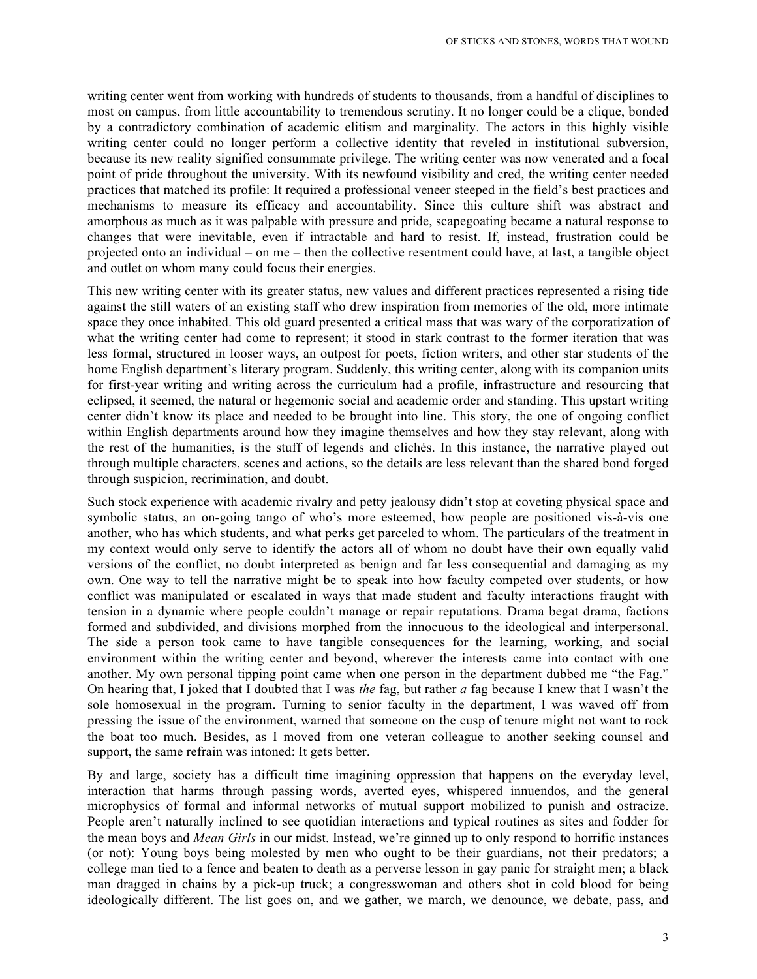writing center went from working with hundreds of students to thousands, from a handful of disciplines to most on campus, from little accountability to tremendous scrutiny. It no longer could be a clique, bonded by a contradictory combination of academic elitism and marginality. The actors in this highly visible writing center could no longer perform a collective identity that reveled in institutional subversion, because its new reality signified consummate privilege. The writing center was now venerated and a focal point of pride throughout the university. With its newfound visibility and cred, the writing center needed practices that matched its profile: It required a professional veneer steeped in the field's best practices and mechanisms to measure its efficacy and accountability. Since this culture shift was abstract and amorphous as much as it was palpable with pressure and pride, scapegoating became a natural response to changes that were inevitable, even if intractable and hard to resist. If, instead, frustration could be projected onto an individual – on me – then the collective resentment could have, at last, a tangible object and outlet on whom many could focus their energies.

This new writing center with its greater status, new values and different practices represented a rising tide against the still waters of an existing staff who drew inspiration from memories of the old, more intimate space they once inhabited. This old guard presented a critical mass that was wary of the corporatization of what the writing center had come to represent; it stood in stark contrast to the former iteration that was less formal, structured in looser ways, an outpost for poets, fiction writers, and other star students of the home English department's literary program. Suddenly, this writing center, along with its companion units for first-year writing and writing across the curriculum had a profile, infrastructure and resourcing that eclipsed, it seemed, the natural or hegemonic social and academic order and standing. This upstart writing center didn't know its place and needed to be brought into line. This story, the one of ongoing conflict within English departments around how they imagine themselves and how they stay relevant, along with the rest of the humanities, is the stuff of legends and clichés. In this instance, the narrative played out through multiple characters, scenes and actions, so the details are less relevant than the shared bond forged through suspicion, recrimination, and doubt.

Such stock experience with academic rivalry and petty jealousy didn't stop at coveting physical space and symbolic status, an on-going tango of who's more esteemed, how people are positioned vis-à-vis one another, who has which students, and what perks get parceled to whom. The particulars of the treatment in my context would only serve to identify the actors all of whom no doubt have their own equally valid versions of the conflict, no doubt interpreted as benign and far less consequential and damaging as my own. One way to tell the narrative might be to speak into how faculty competed over students, or how conflict was manipulated or escalated in ways that made student and faculty interactions fraught with tension in a dynamic where people couldn't manage or repair reputations. Drama begat drama, factions formed and subdivided, and divisions morphed from the innocuous to the ideological and interpersonal. The side a person took came to have tangible consequences for the learning, working, and social environment within the writing center and beyond, wherever the interests came into contact with one another. My own personal tipping point came when one person in the department dubbed me "the Fag." On hearing that, I joked that I doubted that I was *the* fag, but rather *a* fag because I knew that I wasn't the sole homosexual in the program. Turning to senior faculty in the department, I was waved off from pressing the issue of the environment, warned that someone on the cusp of tenure might not want to rock the boat too much. Besides, as I moved from one veteran colleague to another seeking counsel and support, the same refrain was intoned: It gets better.

By and large, society has a difficult time imagining oppression that happens on the everyday level, interaction that harms through passing words, averted eyes, whispered innuendos, and the general microphysics of formal and informal networks of mutual support mobilized to punish and ostracize. People aren't naturally inclined to see quotidian interactions and typical routines as sites and fodder for the mean boys and *Mean Girls* in our midst. Instead, we're ginned up to only respond to horrific instances (or not): Young boys being molested by men who ought to be their guardians, not their predators; a college man tied to a fence and beaten to death as a perverse lesson in gay panic for straight men; a black man dragged in chains by a pick-up truck; a congresswoman and others shot in cold blood for being ideologically different. The list goes on, and we gather, we march, we denounce, we debate, pass, and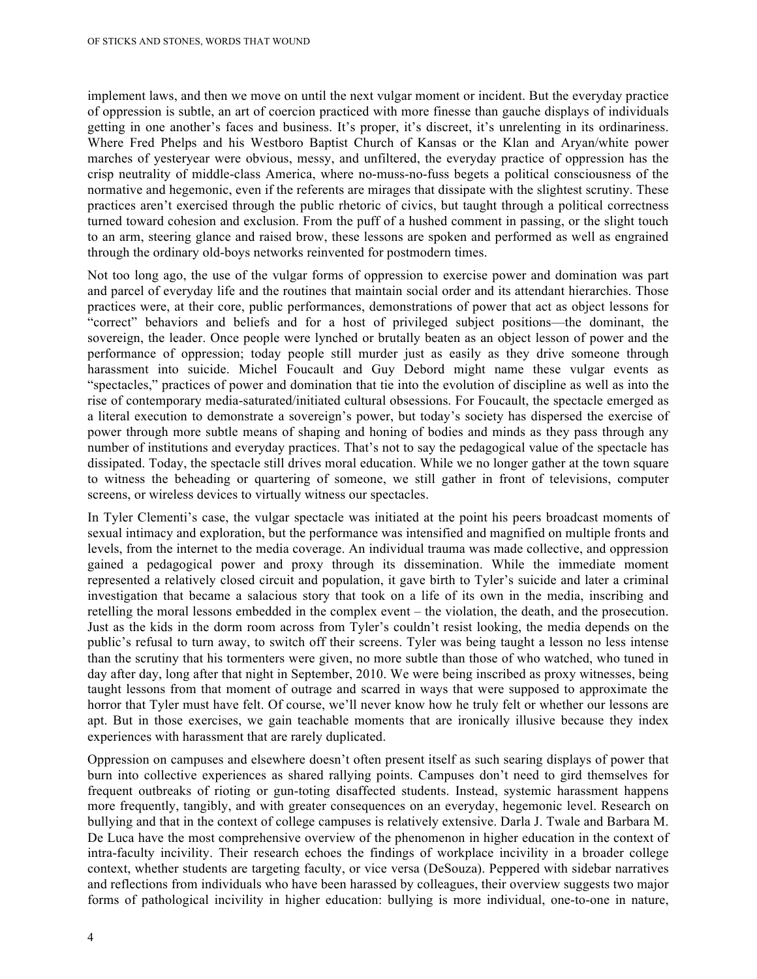implement laws, and then we move on until the next vulgar moment or incident. But the everyday practice of oppression is subtle, an art of coercion practiced with more finesse than gauche displays of individuals getting in one another's faces and business. It's proper, it's discreet, it's unrelenting in its ordinariness. Where Fred Phelps and his Westboro Baptist Church of Kansas or the Klan and Aryan/white power marches of yesteryear were obvious, messy, and unfiltered, the everyday practice of oppression has the crisp neutrality of middle-class America, where no-muss-no-fuss begets a political consciousness of the normative and hegemonic, even if the referents are mirages that dissipate with the slightest scrutiny. These practices aren't exercised through the public rhetoric of civics, but taught through a political correctness turned toward cohesion and exclusion. From the puff of a hushed comment in passing, or the slight touch to an arm, steering glance and raised brow, these lessons are spoken and performed as well as engrained through the ordinary old-boys networks reinvented for postmodern times.

Not too long ago, the use of the vulgar forms of oppression to exercise power and domination was part and parcel of everyday life and the routines that maintain social order and its attendant hierarchies. Those practices were, at their core, public performances, demonstrations of power that act as object lessons for "correct" behaviors and beliefs and for a host of privileged subject positions—the dominant, the sovereign, the leader. Once people were lynched or brutally beaten as an object lesson of power and the performance of oppression; today people still murder just as easily as they drive someone through harassment into suicide. Michel Foucault and Guy Debord might name these vulgar events as "spectacles," practices of power and domination that tie into the evolution of discipline as well as into the rise of contemporary media-saturated/initiated cultural obsessions. For Foucault, the spectacle emerged as a literal execution to demonstrate a sovereign's power, but today's society has dispersed the exercise of power through more subtle means of shaping and honing of bodies and minds as they pass through any number of institutions and everyday practices. That's not to say the pedagogical value of the spectacle has dissipated. Today, the spectacle still drives moral education. While we no longer gather at the town square to witness the beheading or quartering of someone, we still gather in front of televisions, computer screens, or wireless devices to virtually witness our spectacles.

In Tyler Clementi's case, the vulgar spectacle was initiated at the point his peers broadcast moments of sexual intimacy and exploration, but the performance was intensified and magnified on multiple fronts and levels, from the internet to the media coverage. An individual trauma was made collective, and oppression gained a pedagogical power and proxy through its dissemination. While the immediate moment represented a relatively closed circuit and population, it gave birth to Tyler's suicide and later a criminal investigation that became a salacious story that took on a life of its own in the media, inscribing and retelling the moral lessons embedded in the complex event – the violation, the death, and the prosecution. Just as the kids in the dorm room across from Tyler's couldn't resist looking, the media depends on the public's refusal to turn away, to switch off their screens. Tyler was being taught a lesson no less intense than the scrutiny that his tormenters were given, no more subtle than those of who watched, who tuned in day after day, long after that night in September, 2010. We were being inscribed as proxy witnesses, being taught lessons from that moment of outrage and scarred in ways that were supposed to approximate the horror that Tyler must have felt. Of course, we'll never know how he truly felt or whether our lessons are apt. But in those exercises, we gain teachable moments that are ironically illusive because they index experiences with harassment that are rarely duplicated.

Oppression on campuses and elsewhere doesn't often present itself as such searing displays of power that burn into collective experiences as shared rallying points. Campuses don't need to gird themselves for frequent outbreaks of rioting or gun-toting disaffected students. Instead, systemic harassment happens more frequently, tangibly, and with greater consequences on an everyday, hegemonic level. Research on bullying and that in the context of college campuses is relatively extensive. Darla J. Twale and Barbara M. De Luca have the most comprehensive overview of the phenomenon in higher education in the context of intra-faculty incivility. Their research echoes the findings of workplace incivility in a broader college context, whether students are targeting faculty, or vice versa (DeSouza). Peppered with sidebar narratives and reflections from individuals who have been harassed by colleagues, their overview suggests two major forms of pathological incivility in higher education: bullying is more individual, one-to-one in nature,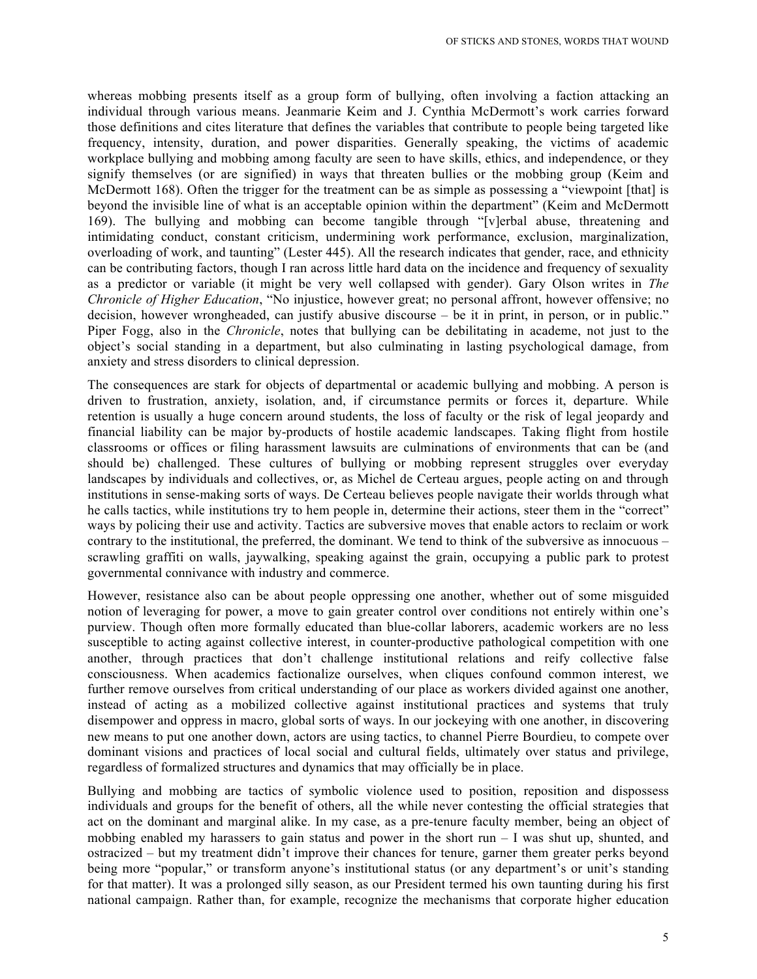whereas mobbing presents itself as a group form of bullying, often involving a faction attacking an individual through various means. Jeanmarie Keim and J. Cynthia McDermott's work carries forward those definitions and cites literature that defines the variables that contribute to people being targeted like frequency, intensity, duration, and power disparities. Generally speaking, the victims of academic workplace bullying and mobbing among faculty are seen to have skills, ethics, and independence, or they signify themselves (or are signified) in ways that threaten bullies or the mobbing group (Keim and McDermott 168). Often the trigger for the treatment can be as simple as possessing a "viewpoint [that] is beyond the invisible line of what is an acceptable opinion within the department" (Keim and McDermott 169). The bullying and mobbing can become tangible through "[v]erbal abuse, threatening and intimidating conduct, constant criticism, undermining work performance, exclusion, marginalization, overloading of work, and taunting" (Lester 445). All the research indicates that gender, race, and ethnicity can be contributing factors, though I ran across little hard data on the incidence and frequency of sexuality as a predictor or variable (it might be very well collapsed with gender). Gary Olson writes in *The Chronicle of Higher Education*, "No injustice, however great; no personal affront, however offensive; no decision, however wrongheaded, can justify abusive discourse – be it in print, in person, or in public." Piper Fogg, also in the *Chronicle*, notes that bullying can be debilitating in academe, not just to the object's social standing in a department, but also culminating in lasting psychological damage, from anxiety and stress disorders to clinical depression.

The consequences are stark for objects of departmental or academic bullying and mobbing. A person is driven to frustration, anxiety, isolation, and, if circumstance permits or forces it, departure. While retention is usually a huge concern around students, the loss of faculty or the risk of legal jeopardy and financial liability can be major by-products of hostile academic landscapes. Taking flight from hostile classrooms or offices or filing harassment lawsuits are culminations of environments that can be (and should be) challenged. These cultures of bullying or mobbing represent struggles over everyday landscapes by individuals and collectives, or, as Michel de Certeau argues, people acting on and through institutions in sense-making sorts of ways. De Certeau believes people navigate their worlds through what he calls tactics, while institutions try to hem people in, determine their actions, steer them in the "correct" ways by policing their use and activity. Tactics are subversive moves that enable actors to reclaim or work contrary to the institutional, the preferred, the dominant. We tend to think of the subversive as innocuous – scrawling graffiti on walls, jaywalking, speaking against the grain, occupying a public park to protest governmental connivance with industry and commerce.

However, resistance also can be about people oppressing one another, whether out of some misguided notion of leveraging for power, a move to gain greater control over conditions not entirely within one's purview. Though often more formally educated than blue-collar laborers, academic workers are no less susceptible to acting against collective interest, in counter-productive pathological competition with one another, through practices that don't challenge institutional relations and reify collective false consciousness. When academics factionalize ourselves, when cliques confound common interest, we further remove ourselves from critical understanding of our place as workers divided against one another, instead of acting as a mobilized collective against institutional practices and systems that truly disempower and oppress in macro, global sorts of ways. In our jockeying with one another, in discovering new means to put one another down, actors are using tactics, to channel Pierre Bourdieu, to compete over dominant visions and practices of local social and cultural fields, ultimately over status and privilege, regardless of formalized structures and dynamics that may officially be in place.

Bullying and mobbing are tactics of symbolic violence used to position, reposition and dispossess individuals and groups for the benefit of others, all the while never contesting the official strategies that act on the dominant and marginal alike. In my case, as a pre-tenure faculty member, being an object of mobbing enabled my harassers to gain status and power in the short run  $-1$  was shut up, shunted, and ostracized – but my treatment didn't improve their chances for tenure, garner them greater perks beyond being more "popular," or transform anyone's institutional status (or any department's or unit's standing for that matter). It was a prolonged silly season, as our President termed his own taunting during his first national campaign. Rather than, for example, recognize the mechanisms that corporate higher education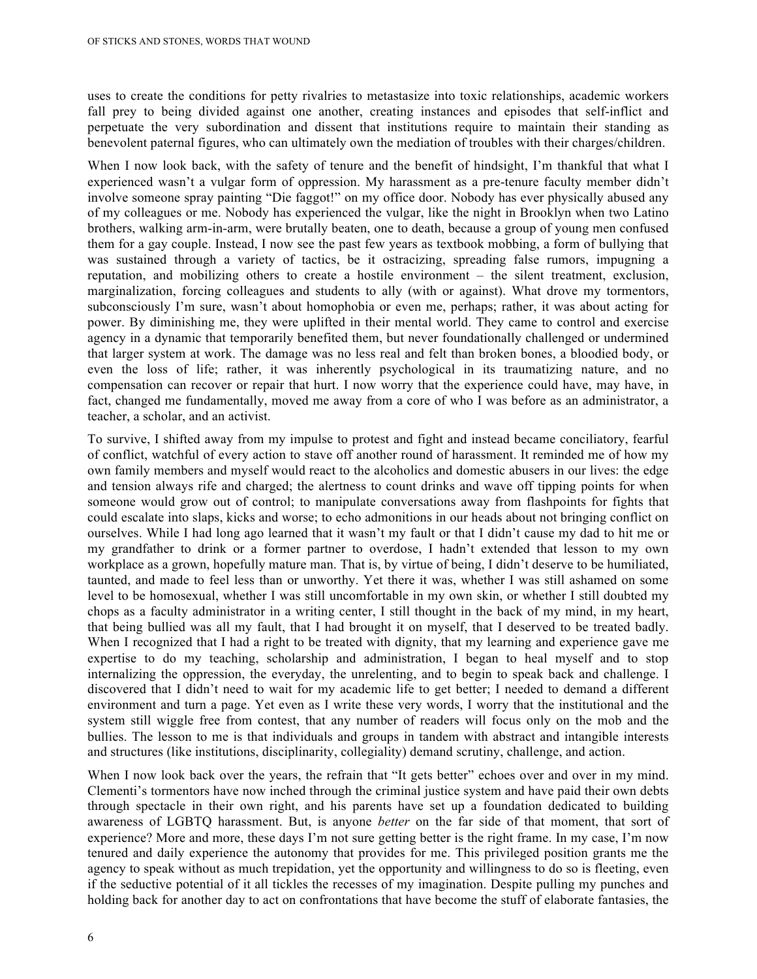uses to create the conditions for petty rivalries to metastasize into toxic relationships, academic workers fall prey to being divided against one another, creating instances and episodes that self-inflict and perpetuate the very subordination and dissent that institutions require to maintain their standing as benevolent paternal figures, who can ultimately own the mediation of troubles with their charges/children.

When I now look back, with the safety of tenure and the benefit of hindsight, I'm thankful that what I experienced wasn't a vulgar form of oppression. My harassment as a pre-tenure faculty member didn't involve someone spray painting "Die faggot!" on my office door. Nobody has ever physically abused any of my colleagues or me. Nobody has experienced the vulgar, like the night in Brooklyn when two Latino brothers, walking arm-in-arm, were brutally beaten, one to death, because a group of young men confused them for a gay couple. Instead, I now see the past few years as textbook mobbing, a form of bullying that was sustained through a variety of tactics, be it ostracizing, spreading false rumors, impugning a reputation, and mobilizing others to create a hostile environment – the silent treatment, exclusion, marginalization, forcing colleagues and students to ally (with or against). What drove my tormentors, subconsciously I'm sure, wasn't about homophobia or even me, perhaps; rather, it was about acting for power. By diminishing me, they were uplifted in their mental world. They came to control and exercise agency in a dynamic that temporarily benefited them, but never foundationally challenged or undermined that larger system at work. The damage was no less real and felt than broken bones, a bloodied body, or even the loss of life; rather, it was inherently psychological in its traumatizing nature, and no compensation can recover or repair that hurt. I now worry that the experience could have, may have, in fact, changed me fundamentally, moved me away from a core of who I was before as an administrator, a teacher, a scholar, and an activist.

To survive, I shifted away from my impulse to protest and fight and instead became conciliatory, fearful of conflict, watchful of every action to stave off another round of harassment. It reminded me of how my own family members and myself would react to the alcoholics and domestic abusers in our lives: the edge and tension always rife and charged; the alertness to count drinks and wave off tipping points for when someone would grow out of control; to manipulate conversations away from flashpoints for fights that could escalate into slaps, kicks and worse; to echo admonitions in our heads about not bringing conflict on ourselves. While I had long ago learned that it wasn't my fault or that I didn't cause my dad to hit me or my grandfather to drink or a former partner to overdose, I hadn't extended that lesson to my own workplace as a grown, hopefully mature man. That is, by virtue of being, I didn't deserve to be humiliated, taunted, and made to feel less than or unworthy. Yet there it was, whether I was still ashamed on some level to be homosexual, whether I was still uncomfortable in my own skin, or whether I still doubted my chops as a faculty administrator in a writing center, I still thought in the back of my mind, in my heart, that being bullied was all my fault, that I had brought it on myself, that I deserved to be treated badly. When I recognized that I had a right to be treated with dignity, that my learning and experience gave me expertise to do my teaching, scholarship and administration, I began to heal myself and to stop internalizing the oppression, the everyday, the unrelenting, and to begin to speak back and challenge. I discovered that I didn't need to wait for my academic life to get better; I needed to demand a different environment and turn a page. Yet even as I write these very words, I worry that the institutional and the system still wiggle free from contest, that any number of readers will focus only on the mob and the bullies. The lesson to me is that individuals and groups in tandem with abstract and intangible interests and structures (like institutions, disciplinarity, collegiality) demand scrutiny, challenge, and action.

When I now look back over the years, the refrain that "It gets better" echoes over and over in my mind. Clementi's tormentors have now inched through the criminal justice system and have paid their own debts through spectacle in their own right, and his parents have set up a foundation dedicated to building awareness of LGBTQ harassment. But, is anyone *better* on the far side of that moment, that sort of experience? More and more, these days I'm not sure getting better is the right frame. In my case, I'm now tenured and daily experience the autonomy that provides for me. This privileged position grants me the agency to speak without as much trepidation, yet the opportunity and willingness to do so is fleeting, even if the seductive potential of it all tickles the recesses of my imagination. Despite pulling my punches and holding back for another day to act on confrontations that have become the stuff of elaborate fantasies, the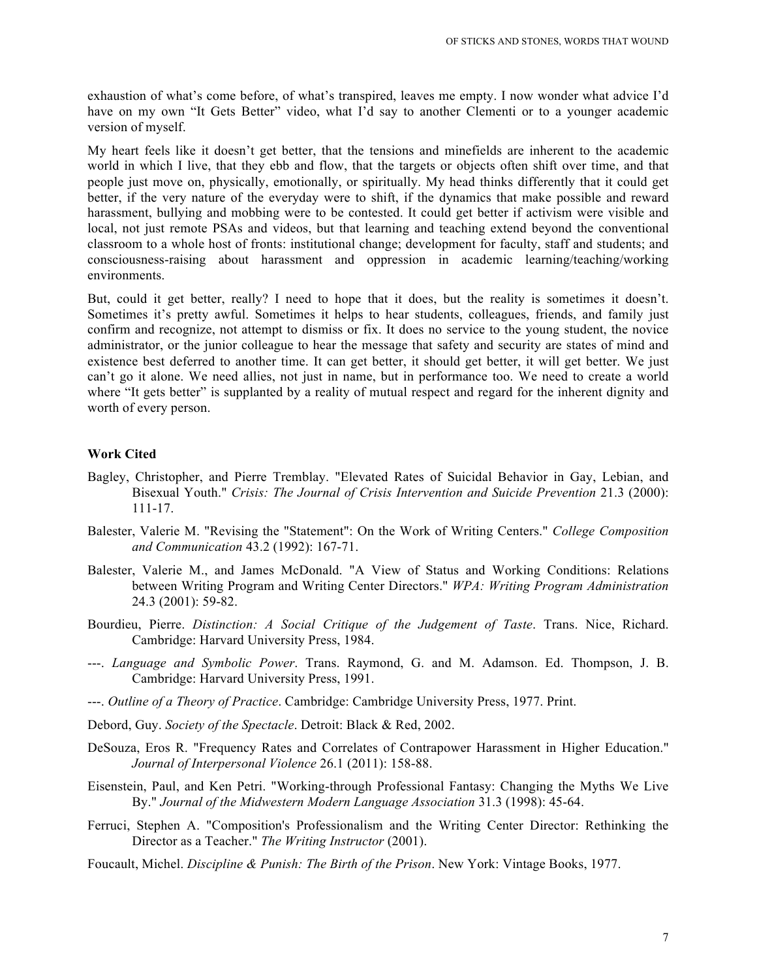exhaustion of what's come before, of what's transpired, leaves me empty. I now wonder what advice I'd have on my own "It Gets Better" video, what I'd say to another Clementi or to a younger academic version of myself.

My heart feels like it doesn't get better, that the tensions and minefields are inherent to the academic world in which I live, that they ebb and flow, that the targets or objects often shift over time, and that people just move on, physically, emotionally, or spiritually. My head thinks differently that it could get better, if the very nature of the everyday were to shift, if the dynamics that make possible and reward harassment, bullying and mobbing were to be contested. It could get better if activism were visible and local, not just remote PSAs and videos, but that learning and teaching extend beyond the conventional classroom to a whole host of fronts: institutional change; development for faculty, staff and students; and consciousness-raising about harassment and oppression in academic learning/teaching/working environments.

But, could it get better, really? I need to hope that it does, but the reality is sometimes it doesn't. Sometimes it's pretty awful. Sometimes it helps to hear students, colleagues, friends, and family just confirm and recognize, not attempt to dismiss or fix. It does no service to the young student, the novice administrator, or the junior colleague to hear the message that safety and security are states of mind and existence best deferred to another time. It can get better, it should get better, it will get better. We just can't go it alone. We need allies, not just in name, but in performance too. We need to create a world where "It gets better" is supplanted by a reality of mutual respect and regard for the inherent dignity and worth of every person.

## **Work Cited**

- Bagley, Christopher, and Pierre Tremblay. "Elevated Rates of Suicidal Behavior in Gay, Lebian, and Bisexual Youth." *Crisis: The Journal of Crisis Intervention and Suicide Prevention* 21.3 (2000): 111-17.
- Balester, Valerie M. "Revising the "Statement": On the Work of Writing Centers." *College Composition and Communication* 43.2 (1992): 167-71.
- Balester, Valerie M., and James McDonald. "A View of Status and Working Conditions: Relations between Writing Program and Writing Center Directors." *WPA: Writing Program Administration*  24.3 (2001): 59-82.
- Bourdieu, Pierre. *Distinction: A Social Critique of the Judgement of Taste*. Trans. Nice, Richard. Cambridge: Harvard University Press, 1984.
- ---. *Language and Symbolic Power*. Trans. Raymond, G. and M. Adamson. Ed. Thompson, J. B. Cambridge: Harvard University Press, 1991.
- ---. *Outline of a Theory of Practice*. Cambridge: Cambridge University Press, 1977. Print.
- Debord, Guy. *Society of the Spectacle*. Detroit: Black & Red, 2002.
- DeSouza, Eros R. "Frequency Rates and Correlates of Contrapower Harassment in Higher Education." *Journal of Interpersonal Violence* 26.1 (2011): 158-88.
- Eisenstein, Paul, and Ken Petri. "Working-through Professional Fantasy: Changing the Myths We Live By." *Journal of the Midwestern Modern Language Association* 31.3 (1998): 45-64.
- Ferruci, Stephen A. "Composition's Professionalism and the Writing Center Director: Rethinking the Director as a Teacher." *The Writing Instructor* (2001).
- Foucault, Michel. *Discipline & Punish: The Birth of the Prison*. New York: Vintage Books, 1977.